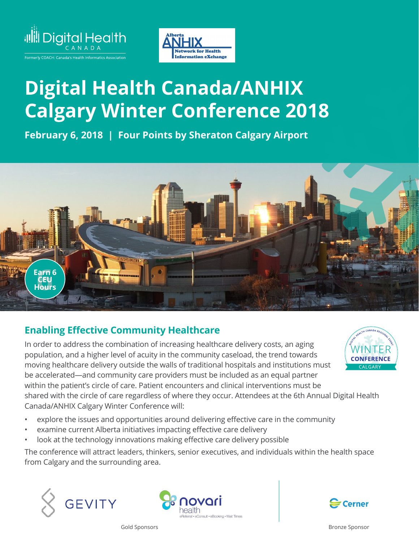



## **Digital Health Canada/ANHIX Calgary Winter Conference 2018**

**February 6, 2018 | Four Points by Sheraton Calgary Airport**



## **Enabling Effective Community Healthcare**

In order to address the combination of increasing healthcare delivery costs, an aging population, and a higher level of acuity in the community caseload, the trend towards moving healthcare delivery outside the walls of traditional hospitals and institutions must be accelerated—and community care providers must be included as an equal partner within the patient's circle of care. Patient encounters and clinical interventions must be shared with the circle of care regardless of where they occur. Attendees at the 6th Annual Digital Health Canada/ANHIX Calgary Winter Conference will:

- explore the issues and opportunities around delivering effective care in the community
- examine current Alberta initiatives impacting effective care delivery
- look at the technology innovations making effective care delivery possible

The conference will attract leaders, thinkers, senior executives, and individuals within the health space from Calgary and the surrounding area.







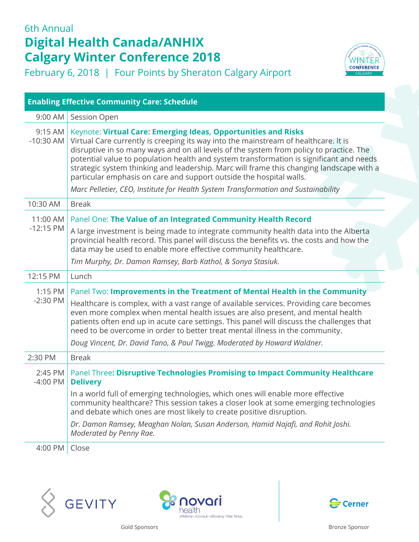## 6th Annual **Digital Health Canada/ANHIX Calgary Winter Conference 2018**

February 6, 2018 | Four Points by Sheraton Calgary Airport



 $4:00$  PM  $\vert$  Close







WINTER **CONFERENCE**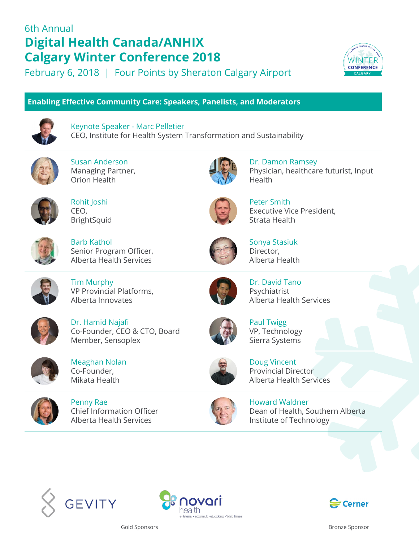## 6th Annual **Digital Health Canada/ANHIX Calgary Winter Conference 2018**

February 6, 2018 | Four Points by Sheraton Calgary Airport



**Enabling Effective Community Care: Speakers, Panelists, and Moderators**



Keynote Speaker - Marc Pelletier CEO, Institute for Health System Transformation and Sustainability



Susan Anderson Managing Partner, Orion Health



Dr. Damon Ramsey Physician, healthcare futurist, Input Health



Rohit Joshi CEO, **BrightSquid** 



Peter Smith Executive Vice President, Strata Health



Barb Kathol Senior Program Officer, Alberta Health Services



Sonya Stasiuk Director, Alberta Health



Tim Murphy VP Provincial Platforms, Alberta Innovates



Dr. David Tano Psychiatrist Alberta Health Services



Dr. Hamid Najafi Co-Founder, CEO & CTO, Board Member, Sensoplex



Meaghan Nolan Co-Founder, Mikata Health



Penny Rae Chief Information Officer Alberta Health Services



Paul Twigg VP, Technology Sierra Systems

Doug Vincent Provincial Director Alberta Health Services



Howard Waldner Dean of Health, Southern Alberta Institute of Technology